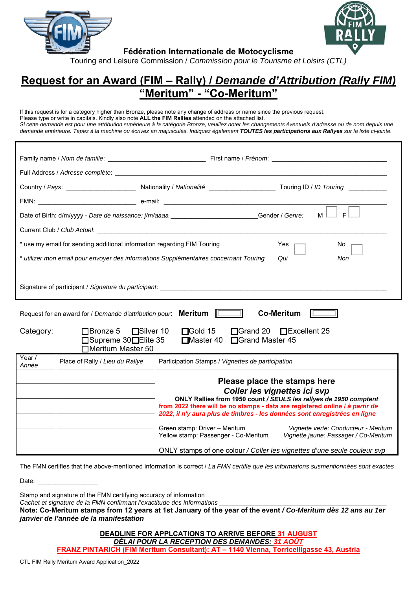

**Fédération Internationale de Motocyclisme** 



## **Request for an Award (FIM – Rally) /** *Demande d'Attribution (Rally FIM)* **"Meritum" - "Co-Meritum"**

If this request is for a category higher than Bronze, please note any change of address or name since the previous request. Please type or write in capitals. Kindly also note **ALL the FIM Rallies** attended on the attached list. *Si cette demande est pour une attribution supérieure à la catégorie Bronze, veuillez noter les changements éventuels d'adresse ou de nom depuis une*  demande antérieure. Tapez à la machine ou écrivez an majuscules. Indiquez également **TOUTES** les participations aux Rallyes sur la liste ci-jointe.

|                                                                                                                                                                                     |                                 | E<br>Date of Birth: d/m/yyyy - Date de naissance: j/m/aaaa _________________________Gender / Genre:<br>M                                                                                                                                                                                                                                                                                                                                                  |  |  |  |  |  |  |  |  |
|-------------------------------------------------------------------------------------------------------------------------------------------------------------------------------------|---------------------------------|-----------------------------------------------------------------------------------------------------------------------------------------------------------------------------------------------------------------------------------------------------------------------------------------------------------------------------------------------------------------------------------------------------------------------------------------------------------|--|--|--|--|--|--|--|--|
|                                                                                                                                                                                     |                                 |                                                                                                                                                                                                                                                                                                                                                                                                                                                           |  |  |  |  |  |  |  |  |
| * use my email for sending additional information regarding FIM Touring<br>Yes<br>No.                                                                                               |                                 |                                                                                                                                                                                                                                                                                                                                                                                                                                                           |  |  |  |  |  |  |  |  |
| * utilizer mon email pour envoyer des informations Supplémentaires concernant Touring<br>Qui<br>Non                                                                                 |                                 |                                                                                                                                                                                                                                                                                                                                                                                                                                                           |  |  |  |  |  |  |  |  |
| Signature of participant / Signature du participant:                                                                                                                                |                                 |                                                                                                                                                                                                                                                                                                                                                                                                                                                           |  |  |  |  |  |  |  |  |
| Request for an award for / Demande d'attribution pour: Meritum<br><b>Co-Meritum</b>                                                                                                 |                                 |                                                                                                                                                                                                                                                                                                                                                                                                                                                           |  |  |  |  |  |  |  |  |
| $\Box$ Bronze 5 $\Box$ Silver 10<br>$\Box$ Gold 15<br>□Grand 20 □Excellent 25<br>Category:<br>□Supreme 30□Elite 35<br>□Grand Master 45<br>$\square$ Master 40<br>□Meritum Master 50 |                                 |                                                                                                                                                                                                                                                                                                                                                                                                                                                           |  |  |  |  |  |  |  |  |
| Year /<br>Annèe                                                                                                                                                                     | Place of Rally / Lieu du Rallye | Participation Stamps / Vignettes de participation                                                                                                                                                                                                                                                                                                                                                                                                         |  |  |  |  |  |  |  |  |
|                                                                                                                                                                                     |                                 | Please place the stamps here<br>Coller les vignettes ici svp<br>ONLY Rallies from 1950 count / SEULS les rallyes de 1950 comptent<br>from 2022 there will be no stamps - data are registered online / à partir de<br>2022, il n'y aura plus de timbres - les données sont enregistrées en ligne<br>Green stamp: Driver - Meritum<br>Vignette verte: Conducteur - Meritum<br>Yellow stamp: Passenger - Co-Meritum<br>Vignette jaune: Passager / Co-Meritum |  |  |  |  |  |  |  |  |
|                                                                                                                                                                                     |                                 | ONLY stamps of one colour / Coller les vignettes d'une seule couleur svp                                                                                                                                                                                                                                                                                                                                                                                  |  |  |  |  |  |  |  |  |

The FMN certifies that the above-mentioned information is correct / *La FMN certifie que les informations susmentionnèes sont exactes*

Date:

Stamp and signature of the FMN certifying accuracy of information

*Cachet et signature de la FMN confirmant l'exactitude des informations* 

**Note: Co-Meritum stamps from 12 years at 1st January of the year of the event** */ Co-Meritum dès 12 ans au 1er janvier de l'année de la manifestation* 

> **DEADLINE FOR APPLCATIONS TO ARRIVE BEFORE 31 AUGUST** *DÉLAI POUR LA RECEPTION DES DEMANDES: 31 AOÛT* **FRANZ PINTARICH (FIM Meritum Consultant): AT – 1140 Vienna, Torricelligasse 43, Austria**

CTL FIM Rally Meritum Award Application\_2022